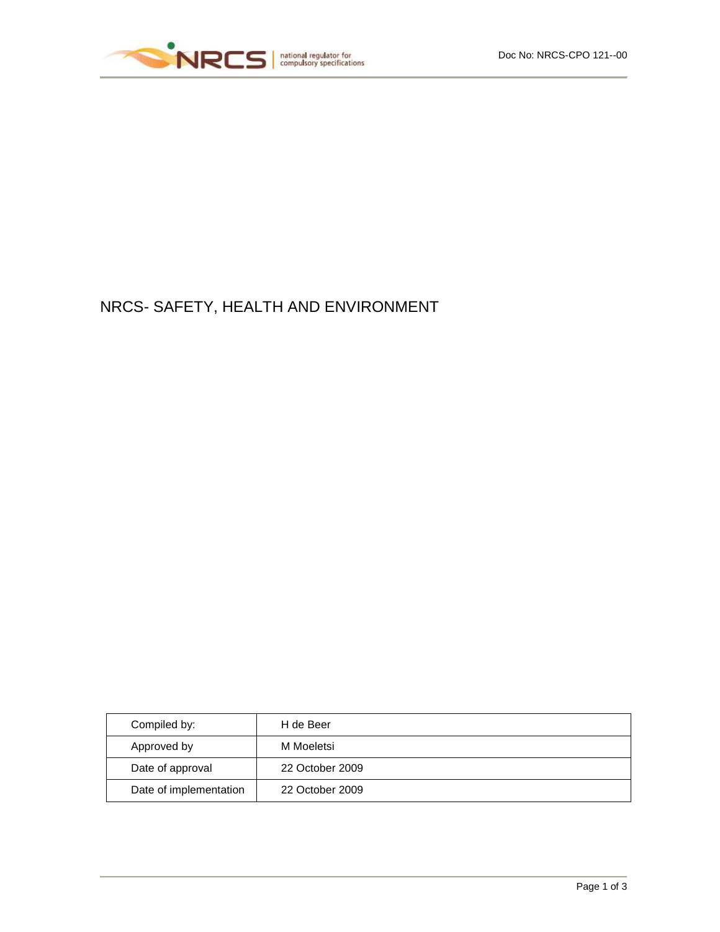

# NRCS- SAFETY, HEALTH AND ENVIRONMENT

| Compiled by:           | H de Beer       |
|------------------------|-----------------|
| Approved by            | M Moeletsi      |
| Date of approval       | 22 October 2009 |
| Date of implementation | 22 October 2009 |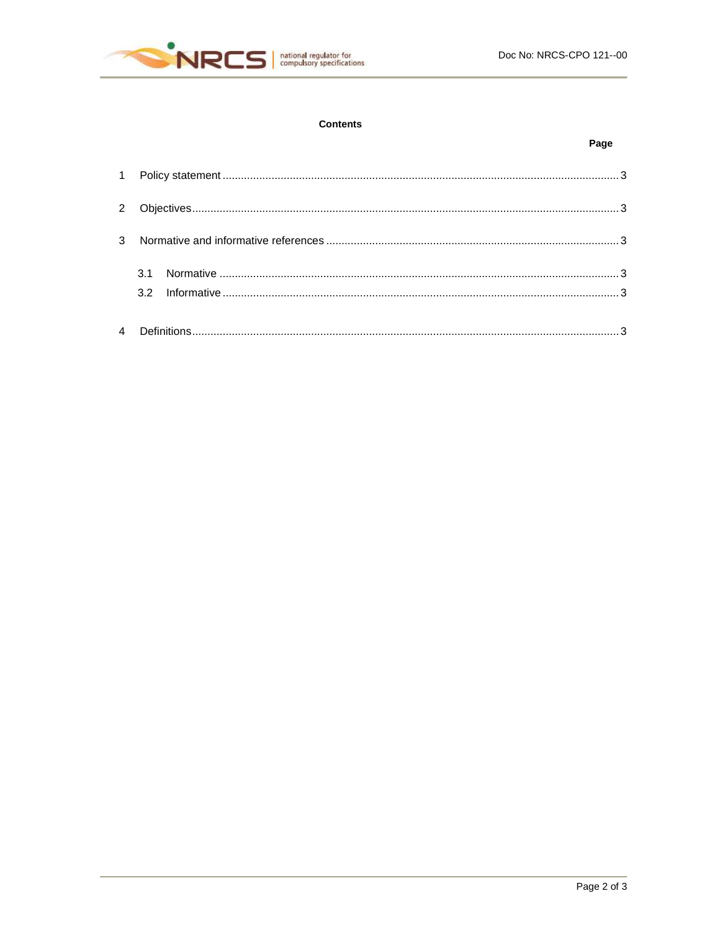

## **Contents**

## Page